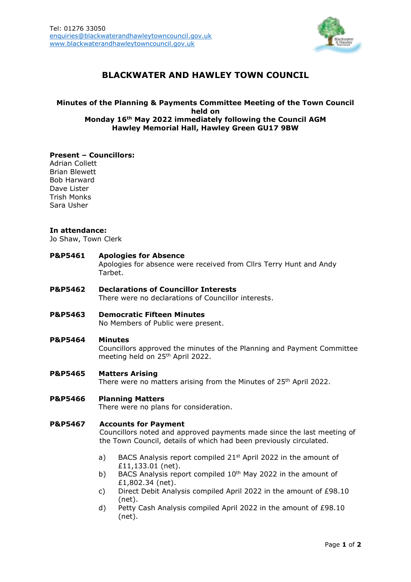

# **BLACKWATER AND HAWLEY TOWN COUNCIL**

# **Minutes of the Planning & Payments Committee Meeting of the Town Council held on Monday 16th May 2022 immediately following the Council AGM Hawley Memorial Hall, Hawley Green GU17 9BW**

#### **Present – Councillors:**

Adrian Collett Brian Blewett Bob Harward Dave Lister Trish Monks Sara Usher

#### **In attendance:**

Jo Shaw, Town Clerk

#### **P&P5461 Apologies for Absence**

Apologies for absence were received from Cllrs Terry Hunt and Andy Tarbet.

**P&P5462 Declarations of Councillor Interests**

There were no declarations of Councillor interests.

**P&P5463 Democratic Fifteen Minutes**

No Members of Public were present.

#### **P&P5464 Minutes**

Councillors approved the minutes of the Planning and Payment Committee meeting held on 25th April 2022.

#### **P&P5465 Matters Arising**

There were no matters arising from the Minutes of 25<sup>th</sup> April 2022.

## **P&P5466 Planning Matters**

There were no plans for consideration.

#### **P&P5467 Accounts for Payment**

Councillors noted and approved payments made since the last meeting of the Town Council, details of which had been previously circulated.

- a) BACS Analysis report compiled 21<sup>st</sup> April 2022 in the amount of £11,133.01 (net).
- b) BACS Analysis report compiled  $10<sup>th</sup>$  May 2022 in the amount of £1,802.34 (net).
- c) Direct Debit Analysis compiled April 2022 in the amount of £98.10 (net).
- d) Petty Cash Analysis compiled April 2022 in the amount of  $E98.10$ (net).